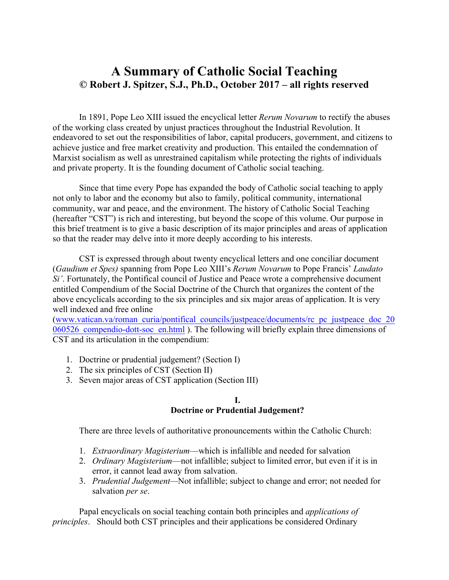## **A Summary of Catholic Social Teaching © Robert J. Spitzer, S.J., Ph.D., October 2017 – all rights reserved**

In 1891, Pope Leo XIII issued the encyclical letter *Rerum Novarum* to rectify the abuses of the working class created by unjust practices throughout the Industrial Revolution. It endeavored to set out the responsibilities of labor, capital producers, government, and citizens to achieve justice and free market creativity and production. This entailed the condemnation of Marxist socialism as well as unrestrained capitalism while protecting the rights of individuals and private property. It is the founding document of Catholic social teaching.

Since that time every Pope has expanded the body of Catholic social teaching to apply not only to labor and the economy but also to family, political community, international community, war and peace, and the environment. The history of Catholic Social Teaching (hereafter "CST") is rich and interesting, but beyond the scope of this volume. Our purpose in this brief treatment is to give a basic description of its major principles and areas of application so that the reader may delve into it more deeply according to his interests.

CST is expressed through about twenty encyclical letters and one conciliar document (*Gaudium et Spes)* spanning from Pope Leo XIII's *Rerum Novarum* to Pope Francis' *Laudato Si'*. Fortunately, the Pontifical council of Justice and Peace wrote a comprehensive document entitled Compendium of the Social Doctrine of the Church that organizes the content of the above encyclicals according to the six principles and six major areas of application. It is very well indexed and free online

(www.vatican.va/roman\_curia/pontifical\_councils/justpeace/documents/rc\_pc\_justpeace\_doc\_20 060526 compendio-dott-soc en.html ). The following will briefly explain three dimensions of CST and its articulation in the compendium:

- 1. Doctrine or prudential judgement? (Section I)
- 2. The six principles of CST (Section II)
- 3. Seven major areas of CST application (Section III)

#### **I. Doctrine or Prudential Judgement?**

There are three levels of authoritative pronouncements within the Catholic Church:

- 1. *Extraordinary Magisterium*—which is infallible and needed for salvation
- 2. *Ordinary Magisterium*—not infallible; subject to limited error, but even if it is in error, it cannot lead away from salvation.
- 3. *Prudential Judgement—*Not infallible; subject to change and error; not needed for salvation *per se*.

Papal encyclicals on social teaching contain both principles and *applications of principles*. Should both CST principles and their applications be considered Ordinary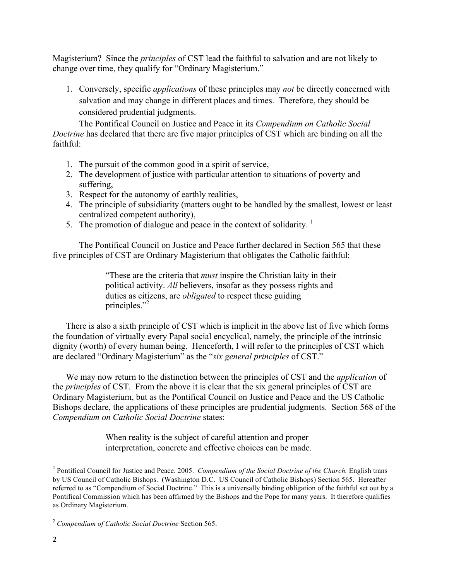Magisterium? Since the *principles* of CST lead the faithful to salvation and are not likely to change over time, they qualify for "Ordinary Magisterium."

1. Conversely, specific *applications* of these principles may *not* be directly concerned with salvation and may change in different places and times. Therefore, they should be considered prudential judgments.

The Pontifical Council on Justice and Peace in its *Compendium on Catholic Social Doctrine* has declared that there are five major principles of CST which are binding on all the faithful:

- 1. The pursuit of the common good in a spirit of service,
- 2. The development of justice with particular attention to situations of poverty and suffering,
- 3. Respect for the autonomy of earthly realities,
- 4. The principle of subsidiarity (matters ought to be handled by the smallest, lowest or least centralized competent authority),
- 5. The promotion of dialogue and peace in the context of solidarity.  $1$

The Pontifical Council on Justice and Peace further declared in Section 565 that these five principles of CST are Ordinary Magisterium that obligates the Catholic faithful:

> "These are the criteria that *must* inspire the Christian laity in their political activity. *All* believers, insofar as they possess rights and duties as citizens, are *obligated* to respect these guiding principles."<sup>2</sup>

There is also a sixth principle of CST which is implicit in the above list of five which forms the foundation of virtually every Papal social encyclical, namely, the principle of the intrinsic dignity (worth) of every human being. Henceforth, I will refer to the principles of CST which are declared "Ordinary Magisterium" as the "*six general principles* of CST."

We may now return to the distinction between the principles of CST and the *application* of the *principles* of CST. From the above it is clear that the six general principles of CST are Ordinary Magisterium, but as the Pontifical Council on Justice and Peace and the US Catholic Bishops declare, the applications of these principles are prudential judgments. Section 568 of the *Compendium on Catholic Social Doctrine* states:

> When reality is the subject of careful attention and proper interpretation, concrete and effective choices can be made.

<sup>&</sup>lt;sup>1</sup> Pontifical Council for Justice and Peace. 2005. *Compendium of the Social Doctrine of the Church*. English trans by US Council of Catholic Bishops. (Washington D.C. US Council of Catholic Bishops) Section 565. Hereafter referred to as "Compendium of Social Doctrine." This is a universally binding obligation of the faithful set out by a Pontifical Commission which has been affirmed by the Bishops and the Pope for many years. It therefore qualifies as Ordinary Magisterium.

<sup>2</sup> *Compendium of Catholic Social Doctrine* Section 565.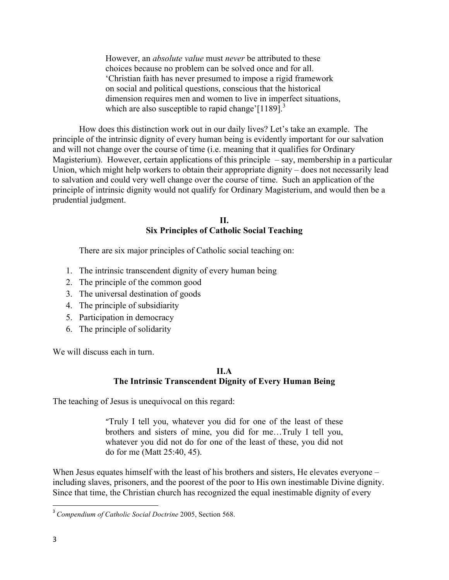However, an *absolute value* must *never* be attributed to these choices because no problem can be solved once and for all. 'Christian faith has never presumed to impose a rigid framework on social and political questions, conscious that the historical dimension requires men and women to live in imperfect situations, which are also susceptible to rapid change'[1189].<sup>3</sup>

How does this distinction work out in our daily lives? Let's take an example. The principle of the intrinsic dignity of every human being is evidently important for our salvation and will not change over the course of time (i.e. meaning that it qualifies for Ordinary Magisterium). However, certain applications of this principle  $-$  say, membership in a particular Union, which might help workers to obtain their appropriate dignity – does not necessarily lead to salvation and could very well change over the course of time. Such an application of the principle of intrinsic dignity would not qualify for Ordinary Magisterium, and would then be a prudential judgment.

> **II. Six Principles of Catholic Social Teaching**

There are six major principles of Catholic social teaching on:

- 1. The intrinsic transcendent dignity of every human being
- 2. The principle of the common good
- 3. The universal destination of goods
- 4. The principle of subsidiarity
- 5. Participation in democracy
- 6. The principle of solidarity

We will discuss each in turn.

#### **II.A The Intrinsic Transcendent Dignity of Every Human Being**

The teaching of Jesus is unequivocal on this regard:

"Truly I tell you, whatever you did for one of the least of these brothers and sisters of mine, you did for me…Truly I tell you, whatever you did not do for one of the least of these, you did not do for me (Matt 25:40, 45).

When Jesus equates himself with the least of his brothers and sisters, He elevates everyone – including slaves, prisoners, and the poorest of the poor to His own inestimable Divine dignity. Since that time, the Christian church has recognized the equal inestimable dignity of every

 3 *Compendium of Catholic Social Doctrine* 2005, Section 568.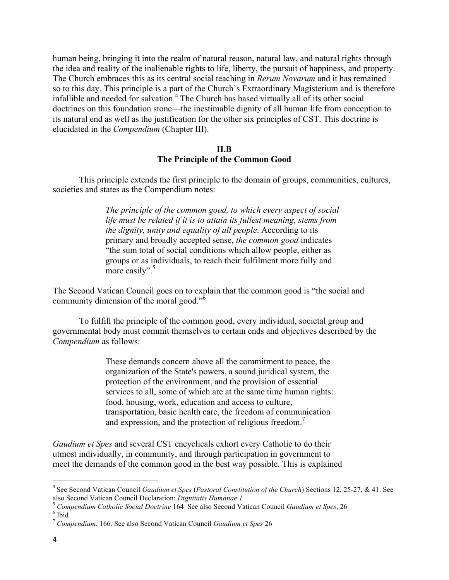human being, bringing it into the realm of natural reason, natural law, and natural rights through the idea and reality of the inalienable rights to life, liberty, the pursuit of happiness, and property. The Church embraces this as its central social teaching in *Rerum Novarum* and it has remained so to this day. This principle is a part of the Church's Extraordinary Magisterium and is therefore infallible and needed for salvation.<sup>4</sup> The Church has based virtually all of its other social doctrines on this foundation stone—the inestimable dignity of all human life from conception to its natural end as well as the justification for the other six principles of CST. This doctrine is elucidated in the *Compendium* (Chapter III).

#### **II.B The Principle of the Common Good**

This principle extends the first principle to the domain of groups, communities, cultures, societies and states as the Compendium notes:

> *The principle of the common good, to which every aspect of social life must be related if it is to attain its fullest meaning, stems from the dignity, unity and equality of all people*. According to its primary and broadly accepted sense, *the common good* indicates "the sum total of social conditions which allow people, either as groups or as individuals, to reach their fulfilment more fully and more easily".<sup>5</sup>

The Second Vatican Council goes on to explain that the common good is "the social and community dimension of the moral good."<sup>6</sup>

To fulfill the principle of the common good, every individual, societal group and governmental body must commit themselves to certain ends and objectives described by the *Compendium* as follows:

> These demands concern above all the commitment to peace, the organization of the State's powers, a sound juridical system, the protection of the environment, and the provision of essential services to all, some of which are at the same time human rights: food, housing, work, education and access to culture, transportation, basic health care, the freedom of communication and expression, and the protection of religious freedom.<sup>7</sup>

*Gaudium et Spes* and several CST encyclicals exhort every Catholic to do their utmost individually, in community, and through participation in government to meet the demands of the common good in the best way possible. This is explained

<sup>4</sup> See Second Vatican Council *Gaudium et Spes* (*Pastoral Constitution of the Church*) Sections 12, 25-27, & 41. See also Second Vatican Council Declaration: *Dignitatis Humanae 1*

<sup>5</sup> *Compendium Catholic Social Doctrine* 164 See also Second Vatican Council *Gaudium et Spes*, 26 6 Ibid

<sup>7</sup> *Compendium*, 166. See also Second Vatican Council *Gaudium et Spes* 26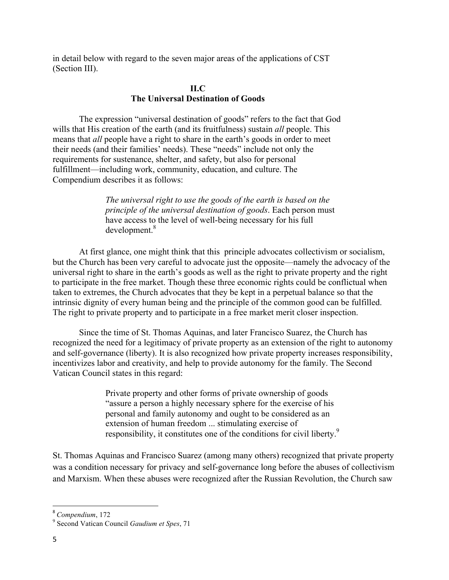in detail below with regard to the seven major areas of the applications of CST (Section III).

## **II.C The Universal Destination of Goods**

The expression "universal destination of goods" refers to the fact that God wills that His creation of the earth (and its fruitfulness) sustain *all* people. This means that *all* people have a right to share in the earth's goods in order to meet their needs (and their families' needs). These "needs" include not only the requirements for sustenance, shelter, and safety, but also for personal fulfillment—including work, community, education, and culture. The Compendium describes it as follows:

> *The universal right to use the goods of the earth is based on the principle of the universal destination of goods*. Each person must have access to the level of well-being necessary for his full development.<sup>8</sup>

At first glance, one might think that this principle advocates collectivism or socialism, but the Church has been very careful to advocate just the opposite—namely the advocacy of the universal right to share in the earth's goods as well as the right to private property and the right to participate in the free market. Though these three economic rights could be conflictual when taken to extremes, the Church advocates that they be kept in a perpetual balance so that the intrinsic dignity of every human being and the principle of the common good can be fulfilled. The right to private property and to participate in a free market merit closer inspection.

Since the time of St. Thomas Aquinas, and later Francisco Suarez, the Church has recognized the need for a legitimacy of private property as an extension of the right to autonomy and self-governance (liberty). It is also recognized how private property increases responsibility, incentivizes labor and creativity, and help to provide autonomy for the family. The Second Vatican Council states in this regard:

> Private property and other forms of private ownership of goods "assure a person a highly necessary sphere for the exercise of his personal and family autonomy and ought to be considered as an extension of human freedom ... stimulating exercise of responsibility, it constitutes one of the conditions for civil liberty.<sup>9</sup>

St. Thomas Aquinas and Francisco Suarez (among many others) recognized that private property was a condition necessary for privacy and self-governance long before the abuses of collectivism and Marxism. When these abuses were recognized after the Russian Revolution, the Church saw

<sup>8</sup> *Compendium*, 172

<sup>9</sup> Second Vatican Council *Gaudium et Spes*, 71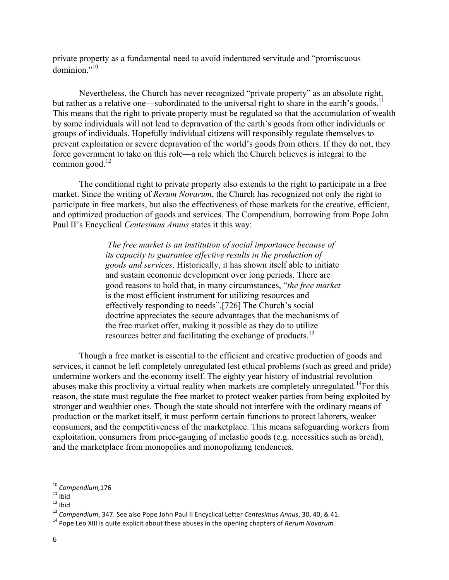private property as a fundamental need to avoid indentured servitude and "promiscuous dominion."<sup>10</sup>

Nevertheless, the Church has never recognized "private property" as an absolute right, but rather as a relative one—subordinated to the universal right to share in the earth's goods.<sup>11</sup> This means that the right to private property must be regulated so that the accumulation of wealth by some individuals will not lead to depravation of the earth's goods from other individuals or groups of individuals. Hopefully individual citizens will responsibly regulate themselves to prevent exploitation or severe depravation of the world's goods from others. If they do not, they force government to take on this role—a role which the Church believes is integral to the common good. $^{12}$ 

The conditional right to private property also extends to the right to participate in a free market. Since the writing of *Rerum Novarum*, the Church has recognized not only the right to participate in free markets, but also the effectiveness of those markets for the creative, efficient, and optimized production of goods and services. The Compendium, borrowing from Pope John Paul II's Encyclical *Centesimus Annus* states it this way:

> *The free market is an institution of social importance because of its capacity to guarantee effective results in the production of goods and services*. Historically, it has shown itself able to initiate and sustain economic development over long periods. There are good reasons to hold that, in many circumstances, "*the free market* is the most efficient instrument for utilizing resources and effectively responding to needs".[726] The Church's social doctrine appreciates the secure advantages that the mechanisms of the free market offer, making it possible as they do to utilize resources better and facilitating the exchange of products.<sup>13</sup>

Though a free market is essential to the efficient and creative production of goods and services, it cannot be left completely unregulated lest ethical problems (such as greed and pride) undermine workers and the economy itself. The eighty year history of industrial revolution abuses make this proclivity a virtual reality when markets are completely unregulated.<sup>14</sup>For this reason, the state must regulate the free market to protect weaker parties from being exploited by stronger and wealthier ones. Though the state should not interfere with the ordinary means of production or the market itself, it must perform certain functions to protect laborers, weaker consumers, and the competitiveness of the marketplace. This means safeguarding workers from exploitation, consumers from price-gauging of inelastic goods (e.g. necessities such as bread), and the marketplace from monopolies and monopolizing tendencies.

<sup>10</sup> *Compendium,*176

 $11$  Ibid

 $12$  Ibid

<sup>&</sup>lt;sup>13</sup> Compendium, 347. See also Pope John Paul II Encyclical Letter *Centesimus Annus*, 30, 40, & 41.

<sup>&</sup>lt;sup>14</sup> Pope Leo XIII is quite explicit about these abuses in the opening chapters of *Rerum Novarum.*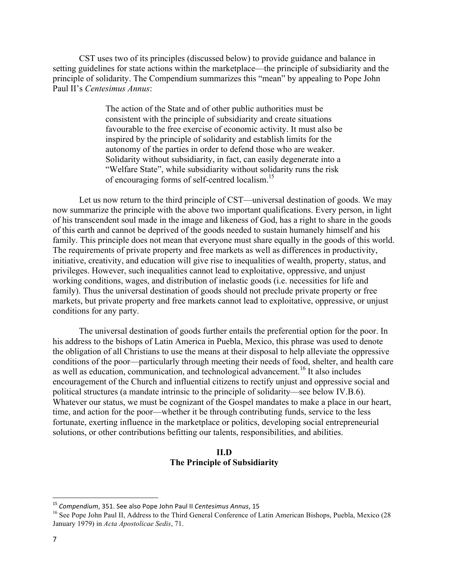CST uses two of its principles (discussed below) to provide guidance and balance in setting guidelines for state actions within the marketplace—the principle of subsidiarity and the principle of solidarity. The Compendium summarizes this "mean" by appealing to Pope John Paul II's *Centesimus Annus*:

> The action of the State and of other public authorities must be consistent with the principle of subsidiarity and create situations favourable to the free exercise of economic activity. It must also be inspired by the principle of solidarity and establish limits for the autonomy of the parties in order to defend those who are weaker. Solidarity without subsidiarity, in fact, can easily degenerate into a "Welfare State", while subsidiarity without solidarity runs the risk of encouraging forms of self-centred localism.<sup>15</sup>

Let us now return to the third principle of CST—universal destination of goods. We may now summarize the principle with the above two important qualifications. Every person, in light of his transcendent soul made in the image and likeness of God, has a right to share in the goods of this earth and cannot be deprived of the goods needed to sustain humanely himself and his family. This principle does not mean that everyone must share equally in the goods of this world. The requirements of private property and free markets as well as differences in productivity, initiative, creativity, and education will give rise to inequalities of wealth, property, status, and privileges. However, such inequalities cannot lead to exploitative, oppressive, and unjust working conditions, wages, and distribution of inelastic goods (i.e. necessities for life and family). Thus the universal destination of goods should not preclude private property or free markets, but private property and free markets cannot lead to exploitative, oppressive, or unjust conditions for any party.

The universal destination of goods further entails the preferential option for the poor. In his address to the bishops of Latin America in Puebla, Mexico, this phrase was used to denote the obligation of all Christians to use the means at their disposal to help alleviate the oppressive conditions of the poor—particularly through meeting their needs of food, shelter, and health care as well as education, communication, and technological advancement.<sup>16</sup> It also includes encouragement of the Church and influential citizens to rectify unjust and oppressive social and political structures (a mandate intrinsic to the principle of solidarity—see below IV.B.6). Whatever our status, we must be cognizant of the Gospel mandates to make a place in our heart, time, and action for the poor—whether it be through contributing funds, service to the less fortunate, exerting influence in the marketplace or politics, developing social entrepreneurial solutions, or other contributions befitting our talents, responsibilities, and abilities.

#### **II.D The Principle of Subsidiarity**

<sup>&</sup>lt;sup>15</sup> Compendium, 351. See also Pope John Paul II Centesimus Annus, 15

<sup>&</sup>lt;sup>16</sup> See Pope John Paul II, Address to the Third General Conference of Latin American Bishops, Puebla, Mexico (28 January 1979) in *Acta Apostolicae Sedis*, 71.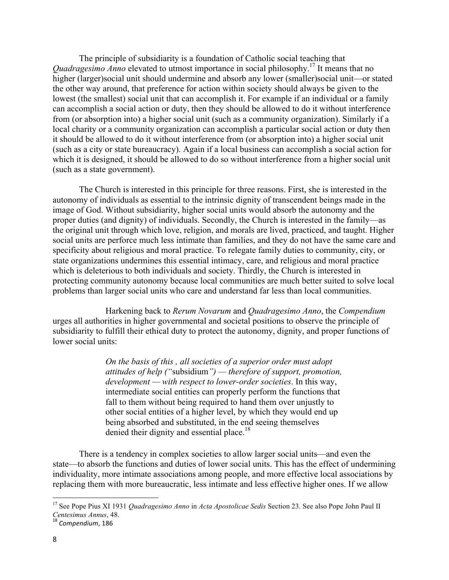The principle of subsidiarity is a foundation of Catholic social teaching that *Quadragesimo Anno* elevated to utmost importance in social philosophy.<sup>17</sup> It means that no higher (larger)social unit should undermine and absorb any lower (smaller)social unit—or stated the other way around, that preference for action within society should always be given to the lowest (the smallest) social unit that can accomplish it. For example if an individual or a family can accomplish a social action or duty, then they should be allowed to do it without interference from (or absorption into) a higher social unit (such as a community organization). Similarly if a local charity or a community organization can accomplish a particular social action or duty then it should be allowed to do it without interference from (or absorption into) a higher social unit (such as a city or state bureaucracy). Again if a local business can accomplish a social action for which it is designed, it should be allowed to do so without interference from a higher social unit (such as a state government).

The Church is interested in this principle for three reasons. First, she is interested in the autonomy of individuals as essential to the intrinsic dignity of transcendent beings made in the image of God. Without subsidiarity, higher social units would absorb the autonomy and the proper duties (and dignity) of individuals. Secondly, the Church is interested in the family—as the original unit through which love, religion, and morals are lived, practiced, and taught. Higher social units are perforce much less intimate than families, and they do not have the same care and specificity about religious and moral practice. To relegate family duties to community, city, or state organizations undermines this essential intimacy, care, and religious and moral practice which is deleterious to both individuals and society. Thirdly, the Church is interested in protecting community autonomy because local communities are much better suited to solve local problems than larger social units who care and understand far less than local communities.

Harkening back to *Rerum Novarum* and *Quadragesimo Anno*, the *Compendium* urges all authorities in higher governmental and societal positions to observe the principle of subsidiarity to fulfill their ethical duty to protect the autonomy, dignity, and proper functions of lower social units:

> *On the basis of this , all societies of a superior order must adopt attitudes of help ("*subsidium*") — therefore of support, promotion, development — with respect to lower-order societies*. In this way, intermediate social entities can properly perform the functions that fall to them without being required to hand them over unjustly to other social entities of a higher level, by which they would end up being absorbed and substituted, in the end seeing themselves denied their dignity and essential place.<sup>18</sup>

There is a tendency in complex societies to allow larger social units—and even the state—to absorb the functions and duties of lower social units. This has the effect of undermining individuality, more intimate associations among people, and more effective local associations by replacing them with more bureaucratic, less intimate and less effective higher ones. If we allow

<sup>17</sup> See Pope Pius XI 1931 *Quadragesimo Anno* in *Acta Apostolicae Sedis* Section 23. See also Pope John Paul II *Centesimus Annus*, 48.

<sup>&</sup>lt;sup>18</sup> Compendium, 186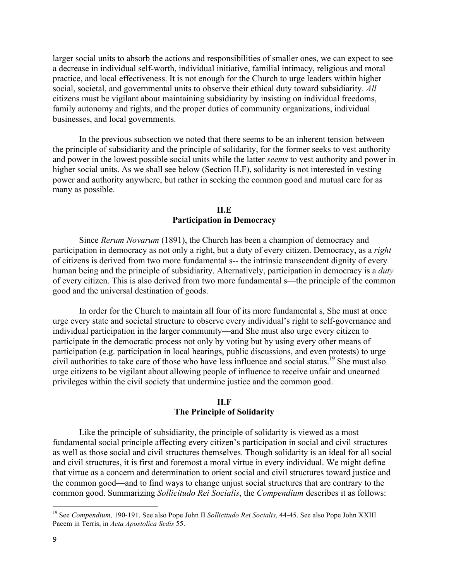larger social units to absorb the actions and responsibilities of smaller ones, we can expect to see a decrease in individual self-worth, individual initiative, familial intimacy, religious and moral practice, and local effectiveness. It is not enough for the Church to urge leaders within higher social, societal, and governmental units to observe their ethical duty toward subsidiarity. *All*  citizens must be vigilant about maintaining subsidiarity by insisting on individual freedoms, family autonomy and rights, and the proper duties of community organizations, individual businesses, and local governments.

In the previous subsection we noted that there seems to be an inherent tension between the principle of subsidiarity and the principle of solidarity, for the former seeks to vest authority and power in the lowest possible social units while the latter *seems* to vest authority and power in higher social units. As we shall see below (Section II.F), solidarity is not interested in vesting power and authority anywhere, but rather in seeking the common good and mutual care for as many as possible.

### **II.E Participation in Democracy**

Since *Rerum Novarum* (1891), the Church has been a champion of democracy and participation in democracy as not only a right, but a duty of every citizen. Democracy, as a *right* of citizens is derived from two more fundamental s-- the intrinsic transcendent dignity of every human being and the principle of subsidiarity. Alternatively, participation in democracy is a *duty* of every citizen. This is also derived from two more fundamental s—the principle of the common good and the universal destination of goods.

In order for the Church to maintain all four of its more fundamental s, She must at once urge every state and societal structure to observe every individual's right to self-governance and individual participation in the larger community—and She must also urge every citizen to participate in the democratic process not only by voting but by using every other means of participation (e.g. participation in local hearings, public discussions, and even protests) to urge civil authorities to take care of those who have less influence and social status.<sup>19</sup> She must also urge citizens to be vigilant about allowing people of influence to receive unfair and unearned privileges within the civil society that undermine justice and the common good.

#### **II.F The Principle of Solidarity**

Like the principle of subsidiarity, the principle of solidarity is viewed as a most fundamental social principle affecting every citizen's participation in social and civil structures as well as those social and civil structures themselves. Though solidarity is an ideal for all social and civil structures, it is first and foremost a moral virtue in every individual. We might define that virtue as a concern and determination to orient social and civil structures toward justice and the common good—and to find ways to change unjust social structures that are contrary to the common good. Summarizing *Sollicitudo Rei Socialis*, the *Compendium* describes it as follows:

<sup>19</sup> See *Compendium,* 190-191. See also Pope John II *Sollicitudo Rei Socialis,* 44-45. See also Pope John XXIII Pacem in Terris, in *Acta Apostolica Sedis* 55.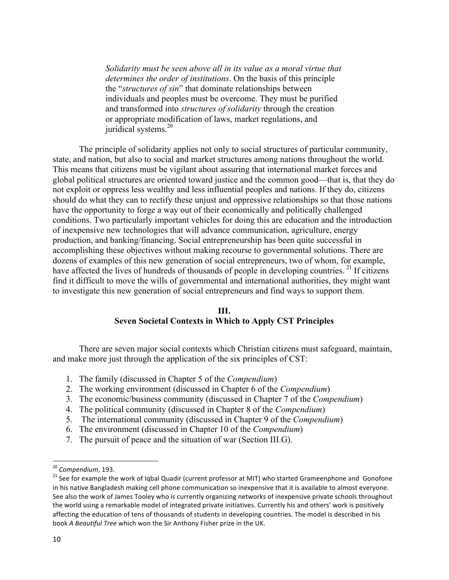*Solidarity must be seen above all in its value as a moral virtue that determines the order of institutions*. On the basis of this principle the "*structures of sin*" that dominate relationships between individuals and peoples must be overcome. They must be purified and transformed into *structures of solidarity* through the creation or appropriate modification of laws, market regulations, and juridical systems.<sup>20</sup>

The principle of solidarity applies not only to social structures of particular community, state, and nation, but also to social and market structures among nations throughout the world. This means that citizens must be vigilant about assuring that international market forces and global political structures are oriented toward justice and the common good—that is, that they do not exploit or oppress less wealthy and less influential peoples and nations. If they do, citizens should do what they can to rectify these unjust and oppressive relationships so that those nations have the opportunity to forge a way out of their economically and politically challenged conditions. Two particularly important vehicles for doing this are education and the introduction of inexpensive new technologies that will advance communication, agriculture, energy production, and banking/financing. Social entrepreneurship has been quite successful in accomplishing these objectives without making recourse to governmental solutions. There are dozens of examples of this new generation of social entrepreneurs, two of whom, for example, have affected the lives of hundreds of thousands of people in developing countries.<sup>21</sup> If citizens find it difficult to move the wills of governmental and international authorities, they might want to investigate this new generation of social entrepreneurs and find ways to support them.

#### **III.**

#### **Seven Societal Contexts in Which to Apply CST Principles**

There are seven major social contexts which Christian citizens must safeguard, maintain, and make more just through the application of the six principles of CST:

- 1. The family (discussed in Chapter 5 of the *Compendium*)
- 2. The working environment (discussed in Chapter 6 of the *Compendium*)
- 3. The economic/business community (discussed in Chapter 7 of the *Compendium*)
- 4. The political community (discussed in Chapter 8 of the *Compendium*)
- 5. The international community (discussed in Chapter 9 of the *Compendium*)
- 6. The environment (discussed in Chapter 10 of the *Compendium*)
- 7. The pursuit of peace and the situation of war (Section III.G).

<sup>&</sup>lt;sup>20</sup> Compendium, 193.

<sup>&</sup>lt;sup>21</sup> See for example the work of Iqbal Quadir (current professor at MIT) who started Grameenphone and Gonofone in his native Bangladesh making cell phone communication so inexpensive that it is available to almost everyone. See also the work of James Tooley who is currently organizing networks of inexpensive private schools throughout the world using a remarkable model of integrated private initiatives. Currently his and others' work is positively affecting the education of tens of thousands of students in developing countries. The model is described in his book *A Beautiful Tree* which won the Sir Anthony Fisher prize in the UK.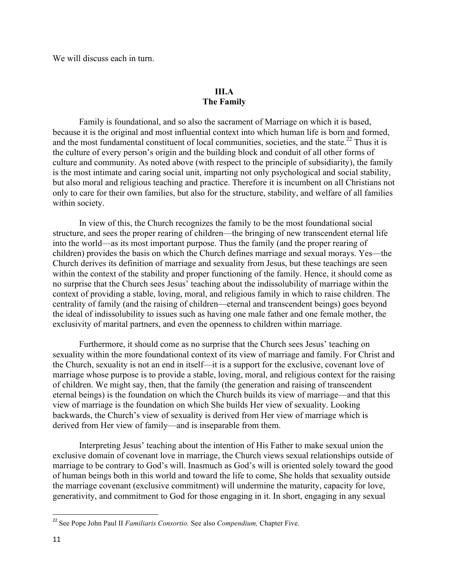We will discuss each in turn.

## **III.A The Family**

Family is foundational, and so also the sacrament of Marriage on which it is based, because it is the original and most influential context into which human life is born and formed, and the most fundamental constituent of local communities, societies, and the state.<sup>22</sup> Thus it is the culture of every person's origin and the building block and conduit of all other forms of culture and community. As noted above (with respect to the principle of subsidiarity), the family is the most intimate and caring social unit, imparting not only psychological and social stability, but also moral and religious teaching and practice. Therefore it is incumbent on all Christians not only to care for their own families, but also for the structure, stability, and welfare of all families within society.

In view of this, the Church recognizes the family to be the most foundational social structure, and sees the proper rearing of children—the bringing of new transcendent eternal life into the world—as its most important purpose. Thus the family (and the proper rearing of children) provides the basis on which the Church defines marriage and sexual morays. Yes—the Church derives its definition of marriage and sexuality from Jesus, but these teachings are seen within the context of the stability and proper functioning of the family. Hence, it should come as no surprise that the Church sees Jesus' teaching about the indissolubility of marriage within the context of providing a stable, loving, moral, and religious family in which to raise children. The centrality of family (and the raising of children—eternal and transcendent beings) goes beyond the ideal of indissolubility to issues such as having one male father and one female mother, the exclusivity of marital partners, and even the openness to children within marriage.

Furthermore, it should come as no surprise that the Church sees Jesus' teaching on sexuality within the more foundational context of its view of marriage and family. For Christ and the Church, sexuality is not an end in itself—it is a support for the exclusive, covenant love of marriage whose purpose is to provide a stable, loving, moral, and religious context for the raising of children. We might say, then, that the family (the generation and raising of transcendent eternal beings) is the foundation on which the Church builds its view of marriage—and that this view of marriage is the foundation on which She builds Her view of sexuality. Looking backwards, the Church's view of sexuality is derived from Her view of marriage which is derived from Her view of family—and is inseparable from them.

Interpreting Jesus' teaching about the intention of His Father to make sexual union the exclusive domain of covenant love in marriage, the Church views sexual relationships outside of marriage to be contrary to God's will. Inasmuch as God's will is oriented solely toward the good of human beings both in this world and toward the life to come, She holds that sexuality outside the marriage covenant (exclusive commitment) will undermine the maturity, capacity for love, generativity, and commitment to God for those engaging in it. In short, engaging in any sexual

<sup>22</sup> See Pope John Paul II *Familiaris Consortio.* See also *Compendium,* Chapter Five.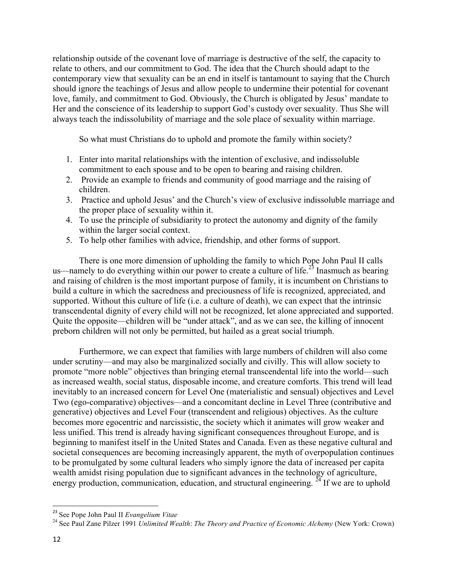relationship outside of the covenant love of marriage is destructive of the self, the capacity to relate to others, and our commitment to God. The idea that the Church should adapt to the contemporary view that sexuality can be an end in itself is tantamount to saying that the Church should ignore the teachings of Jesus and allow people to undermine their potential for covenant love, family, and commitment to God. Obviously, the Church is obligated by Jesus' mandate to Her and the conscience of its leadership to support God's custody over sexuality. Thus She will always teach the indissolubility of marriage and the sole place of sexuality within marriage.

So what must Christians do to uphold and promote the family within society?

- 1. Enter into marital relationships with the intention of exclusive, and indissoluble commitment to each spouse and to be open to bearing and raising children.
- 2. Provide an example to friends and community of good marriage and the raising of children.
- 3. Practice and uphold Jesus' and the Church's view of exclusive indissoluble marriage and the proper place of sexuality within it.
- 4. To use the principle of subsidiarity to protect the autonomy and dignity of the family within the larger social context.
- 5. To help other families with advice, friendship, and other forms of support.

There is one more dimension of upholding the family to which Pope John Paul II calls us—namely to do everything within our power to create a culture of life.<sup>23</sup> Inasmuch as bearing and raising of children is the most important purpose of family, it is incumbent on Christians to build a culture in which the sacredness and preciousness of life is recognized, appreciated, and supported. Without this culture of life (i.e. a culture of death), we can expect that the intrinsic transcendental dignity of every child will not be recognized, let alone appreciated and supported. Quite the opposite—children will be "under attack", and as we can see, the killing of innocent preborn children will not only be permitted, but hailed as a great social triumph.

Furthermore, we can expect that families with large numbers of children will also come under scrutiny—and may also be marginalized socially and civilly. This will allow society to promote "more noble" objectives than bringing eternal transcendental life into the world—such as increased wealth, social status, disposable income, and creature comforts. This trend will lead inevitably to an increased concern for Level One (materialistic and sensual) objectives and Level Two (ego-comparative) objectives—and a concomitant decline in Level Three (contributive and generative) objectives and Level Four (transcendent and religious) objectives. As the culture becomes more egocentric and narcissistic, the society which it animates will grow weaker and less unified. This trend is already having significant consequences throughout Europe, and is beginning to manifest itself in the United States and Canada. Even as these negative cultural and societal consequences are becoming increasingly apparent, the myth of overpopulation continues to be promulgated by some cultural leaders who simply ignore the data of increased per capita wealth amidst rising population due to significant advances in the technology of agriculture, energy production, communication, education, and structural engineering.  $^{24}$  If we are to uphold

<sup>23</sup> See Pope John Paul II *Evangelium Vitae*

<sup>24</sup> See Paul Zane Pilzer 1991 *Unlimited Wealth*: *The Theory and Practice of Economic Alchemy* (New York: Crown)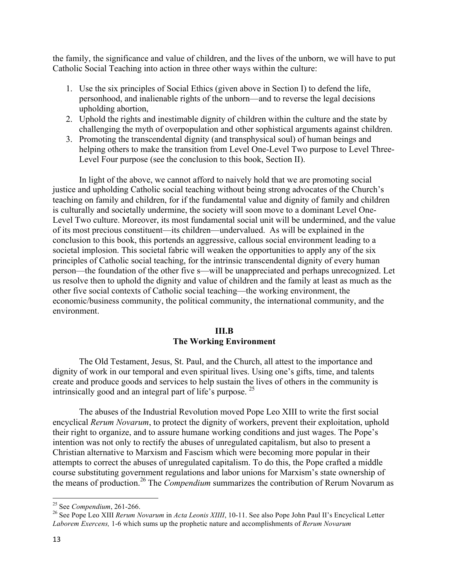the family, the significance and value of children, and the lives of the unborn, we will have to put Catholic Social Teaching into action in three other ways within the culture:

- 1. Use the six principles of Social Ethics (given above in Section I) to defend the life, personhood, and inalienable rights of the unborn—and to reverse the legal decisions upholding abortion,
- 2. Uphold the rights and inestimable dignity of children within the culture and the state by challenging the myth of overpopulation and other sophistical arguments against children.
- 3. Promoting the transcendental dignity (and transphysical soul) of human beings and helping others to make the transition from Level One-Level Two purpose to Level Three-Level Four purpose (see the conclusion to this book, Section II).

In light of the above, we cannot afford to naively hold that we are promoting social justice and upholding Catholic social teaching without being strong advocates of the Church's teaching on family and children, for if the fundamental value and dignity of family and children is culturally and societally undermine, the society will soon move to a dominant Level One-Level Two culture. Moreover, its most fundamental social unit will be undermined, and the value of its most precious constituent—its children—undervalued. As will be explained in the conclusion to this book, this portends an aggressive, callous social environment leading to a societal implosion. This societal fabric will weaken the opportunities to apply any of the six principles of Catholic social teaching, for the intrinsic transcendental dignity of every human person—the foundation of the other five s—will be unappreciated and perhaps unrecognized. Let us resolve then to uphold the dignity and value of children and the family at least as much as the other five social contexts of Catholic social teaching—the working environment, the economic/business community, the political community, the international community, and the environment.

### **III.B The Working Environment**

The Old Testament, Jesus, St. Paul, and the Church, all attest to the importance and dignity of work in our temporal and even spiritual lives. Using one's gifts, time, and talents create and produce goods and services to help sustain the lives of others in the community is intrinsically good and an integral part of life's purpose. <sup>25</sup>

The abuses of the Industrial Revolution moved Pope Leo XIII to write the first social encyclical *Rerum Novarum*, to protect the dignity of workers, prevent their exploitation, uphold their right to organize, and to assure humane working conditions and just wages. The Pope's intention was not only to rectify the abuses of unregulated capitalism, but also to present a Christian alternative to Marxism and Fascism which were becoming more popular in their attempts to correct the abuses of unregulated capitalism. To do this, the Pope crafted a middle course substituting government regulations and labor unions for Marxism's state ownership of the means of production.<sup>26</sup> The *Compendium* summarizes the contribution of Rerum Novarum as

<sup>25</sup> See *Compendium*, 261-266.

<sup>26</sup> See Pope Leo XIII *Rerum Novarum* in *Acta Leonis XIIII*, 10-11. See also Pope John Paul II's Encyclical Letter *Laborem Exercens,* 1-6 which sums up the prophetic nature and accomplishments of *Rerum Novarum*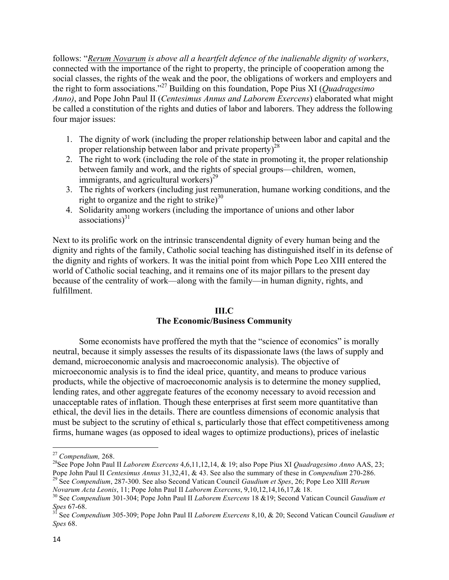follows: "*Rerum Novarum is above all a heartfelt defence of the inalienable dignity of workers*, connected with the importance of the right to property, the principle of cooperation among the social classes, the rights of the weak and the poor, the obligations of workers and employers and the right to form associations." <sup>27</sup> Building on this foundation, Pope Pius XI (*Quadragesimo Anno)*, and Pope John Paul II (*Centesimus Annus and Laborem Exercens*) elaborated what might be called a constitution of the rights and duties of labor and laborers. They address the following four major issues:

- 1. The dignity of work (including the proper relationship between labor and capital and the proper relationship between labor and private property)<sup>28</sup>
- 2. The right to work (including the role of the state in promoting it, the proper relationship between family and work, and the rights of special groups—children, women, immigrants, and agricultural workers $)^{29}$
- 3. The rights of workers (including just remuneration, humane working conditions, and the right to organize and the right to strike) $30$
- 4. Solidarity among workers (including the importance of unions and other labor associations) $31$

Next to its prolific work on the intrinsic transcendental dignity of every human being and the dignity and rights of the family, Catholic social teaching has distinguished itself in its defense of the dignity and rights of workers. It was the initial point from which Pope Leo XIII entered the world of Catholic social teaching, and it remains one of its major pillars to the present day because of the centrality of work—along with the family—in human dignity, rights, and fulfillment.

## **III.C**

## **The Economic/Business Community**

Some economists have proffered the myth that the "science of economics" is morally neutral, because it simply assesses the results of its dispassionate laws (the laws of supply and demand, microeconomic analysis and macroeconomic analysis). The objective of microeconomic analysis is to find the ideal price, quantity, and means to produce various products, while the objective of macroeconomic analysis is to determine the money supplied, lending rates, and other aggregate features of the economy necessary to avoid recession and unacceptable rates of inflation. Though these enterprises at first seem more quantitative than ethical, the devil lies in the details. There are countless dimensions of economic analysis that must be subject to the scrutiny of ethical s, particularly those that effect competitiveness among firms, humane wages (as opposed to ideal wages to optimize productions), prices of inelastic

<u> Andrew Maria (1989)</u>

*Novarum Acta Leonis*, 11; Pope John Paul II *Laborem Exercens*, 9,10,12,14,16,17,& 18.

<sup>27</sup> *Compendium,* 268.

<sup>28</sup>See Pope John Paul II *Laborem Exercens* 4,6,11,12,14, & 19; also Pope Pius XI *Quadragesimo Anno* AAS, 23; Pope John Paul II *Centesimus Annus* 31,32,41, & 43. See also the summary of these in *Compendium* 270-286. <sup>29</sup> See *Compendium*, 287-300. See also Second Vatican Council *Gaudium et Spes*, 26; Pope Leo XIII *Rerum* 

<sup>30</sup> See *Compendium* 301-304; Pope John Paul II *Laborem Exercens* 18 &19; Second Vatican Council *Gaudium et Spes* 67-68.

<sup>31</sup> See *Compendium* 305-309; Pope John Paul II *Laborem Exercens* 8,10, & 20; Second Vatican Council *Gaudium et Spes* 68.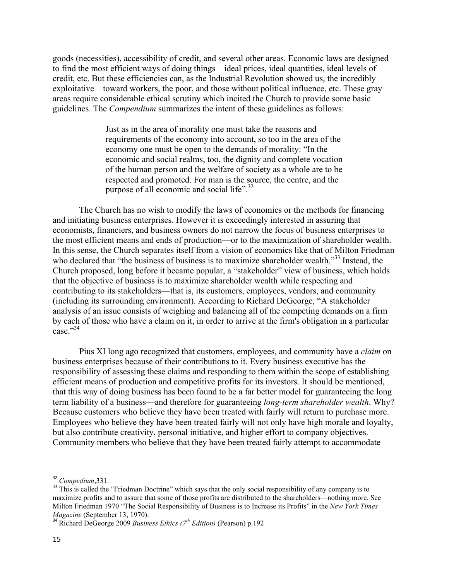goods (necessities), accessibility of credit, and several other areas. Economic laws are designed to find the most efficient ways of doing things—ideal prices, ideal quantities, ideal levels of credit, etc. But these efficiencies can, as the Industrial Revolution showed us, the incredibly exploitative—toward workers, the poor, and those without political influence, etc. These gray areas require considerable ethical scrutiny which incited the Church to provide some basic guidelines. The *Compendium* summarizes the intent of these guidelines as follows:

> Just as in the area of morality one must take the reasons and requirements of the economy into account, so too in the area of the economy one must be open to the demands of morality: "In the economic and social realms, too, the dignity and complete vocation of the human person and the welfare of society as a whole are to be respected and promoted. For man is the source, the centre, and the purpose of all economic and social life". $32$

The Church has no wish to modify the laws of economics or the methods for financing and initiating business enterprises. However it is exceedingly interested in assuring that economists, financiers, and business owners do not narrow the focus of business enterprises to the most efficient means and ends of production—or to the maximization of shareholder wealth. In this sense, the Church separates itself from a vision of economics like that of Milton Friedman who declared that "the business of business is to maximize shareholder wealth."<sup>33</sup> Instead, the Church proposed, long before it became popular, a "stakeholder" view of business, which holds that the objective of business is to maximize shareholder wealth while respecting and contributing to its stakeholders—that is, its customers, employees, vendors, and community (including its surrounding environment). According to Richard DeGeorge, "A stakeholder analysis of an issue consists of weighing and balancing all of the competing demands on a firm by each of those who have a claim on it, in order to arrive at the firm's obligation in a particular case."<sup>34</sup>

Pius XI long ago recognized that customers, employees, and community have a *claim* on business enterprises because of their contributions to it. Every business executive has the responsibility of assessing these claims and responding to them within the scope of establishing efficient means of production and competitive profits for its investors. It should be mentioned, that this way of doing business has been found to be a far better model for guaranteeing the long term liability of a business—and therefore for guaranteeing *long-term shareholder wealth*. Why? Because customers who believe they have been treated with fairly will return to purchase more. Employees who believe they have been treated fairly will not only have high morale and loyalty, but also contribute creativity, personal initiative, and higher effort to company objectives. Community members who believe that they have been treated fairly attempt to accommodate

<sup>32</sup> *Compedium*,331.

<sup>&</sup>lt;sup>33</sup> This is called the "Friedman Doctrine" which says that the only social responsibility of any company is to maximize profits and to assure that some of those profits are distributed to the shareholders—nothing more. See Milton Friedman 1970 "The Social Responsibility of Business is to Increase its Profits" in the *New York Times Magazine* (September 13, 1970).

<sup>34</sup> Richard DeGeorge 2009 *Business Ethics (7th Edition)* (Pearson) p.192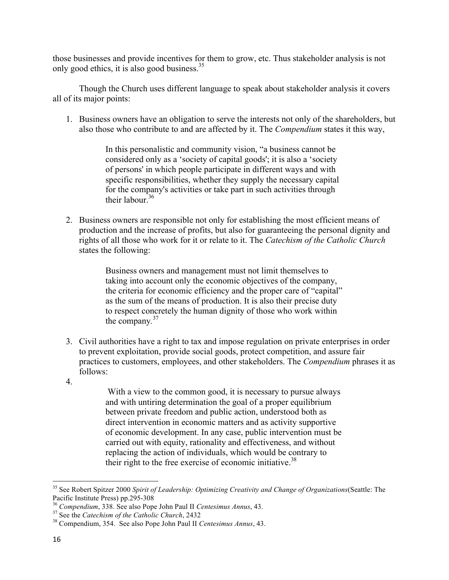those businesses and provide incentives for them to grow, etc. Thus stakeholder analysis is not only good ethics, it is also good business.<sup>35</sup>

Though the Church uses different language to speak about stakeholder analysis it covers all of its major points:

1. Business owners have an obligation to serve the interests not only of the shareholders, but also those who contribute to and are affected by it. The *Compendium* states it this way,

> In this personalistic and community vision, "a business cannot be considered only as a 'society of capital goods'; it is also a 'society of persons' in which people participate in different ways and with specific responsibilities, whether they supply the necessary capital for the company's activities or take part in such activities through their labour  $36$

2. Business owners are responsible not only for establishing the most efficient means of production and the increase of profits, but also for guaranteeing the personal dignity and rights of all those who work for it or relate to it. The *Catechism of the Catholic Church* states the following:

> Business owners and management must not limit themselves to taking into account only the economic objectives of the company, the criteria for economic efficiency and the proper care of "capital" as the sum of the means of production. It is also their precise duty to respect concretely the human dignity of those who work within the company*.* 37

- 3. Civil authorities have a right to tax and impose regulation on private enterprises in order to prevent exploitation, provide social goods, protect competition, and assure fair practices to customers, employees, and other stakeholders. The *Compendium* phrases it as follows:
- 4.

With a view to the common good, it is necessary to pursue always and with untiring determination the goal of a proper equilibrium between private freedom and public action, understood both as direct intervention in economic matters and as activity supportive of economic development. In any case, public intervention must be carried out with equity, rationality and effectiveness, and without replacing the action of individuals, which would be contrary to their right to the free exercise of economic initiative.<sup>38</sup>

<sup>35</sup> See Robert Spitzer 2000 *Spirit of Leadership: Optimizing Creativity and Change of Organizations*(Seattle: The Pacific Institute Press) pp.295-308

<sup>36</sup> *Compendium*, 338. See also Pope John Paul II *Centesimus Annus*, 43.

<sup>37</sup> See the *Catechism of the Catholic Church*, 2432

<sup>38</sup> Compendium, 354. See also Pope John Paul II *Centesimus Annus*, 43.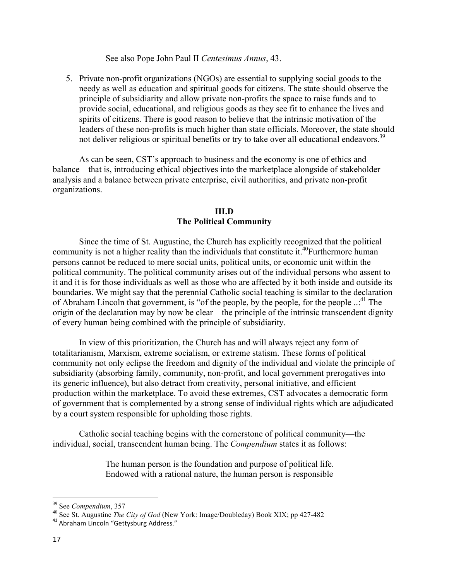See also Pope John Paul II *Centesimus Annus*, 43.

5. Private non-profit organizations (NGOs) are essential to supplying social goods to the needy as well as education and spiritual goods for citizens. The state should observe the principle of subsidiarity and allow private non-profits the space to raise funds and to provide social, educational, and religious goods as they see fit to enhance the lives and spirits of citizens. There is good reason to believe that the intrinsic motivation of the leaders of these non-profits is much higher than state officials. Moreover, the state should not deliver religious or spiritual benefits or try to take over all educational endeavors.<sup>39</sup>

As can be seen, CST's approach to business and the economy is one of ethics and balance—that is, introducing ethical objectives into the marketplace alongside of stakeholder analysis and a balance between private enterprise, civil authorities, and private non-profit organizations.

#### **III.D The Political Community**

Since the time of St. Augustine, the Church has explicitly recognized that the political community is not a higher reality than the individuals that constitute it.<sup>40</sup>Furthermore human persons cannot be reduced to mere social units, political units, or economic unit within the political community. The political community arises out of the individual persons who assent to it and it is for those individuals as well as those who are affected by it both inside and outside its boundaries. We might say that the perennial Catholic social teaching is similar to the declaration of Abraham Lincoln that government, is "of the people, by the people, for the people ...<sup>41</sup> The origin of the declaration may by now be clear—the principle of the intrinsic transcendent dignity of every human being combined with the principle of subsidiarity.

In view of this prioritization, the Church has and will always reject any form of totalitarianism, Marxism, extreme socialism, or extreme statism. These forms of political community not only eclipse the freedom and dignity of the individual and violate the principle of subsidiarity (absorbing family, community, non-profit, and local government prerogatives into its generic influence), but also detract from creativity, personal initiative, and efficient production within the marketplace. To avoid these extremes, CST advocates a democratic form of government that is complemented by a strong sense of individual rights which are adjudicated by a court system responsible for upholding those rights.

Catholic social teaching begins with the cornerstone of political community—the individual, social, transcendent human being. The *Compendium* states it as follows:

> The human person is the foundation and purpose of political life. Endowed with a rational nature, the human person is responsible

<sup>39</sup> See *Compendium*, 357

<sup>40</sup> See St. Augustine *The City of God* (New York: Image/Doubleday) Book XIX; pp 427-482

<sup>41</sup> Abraham Lincoln "Gettysburg Address."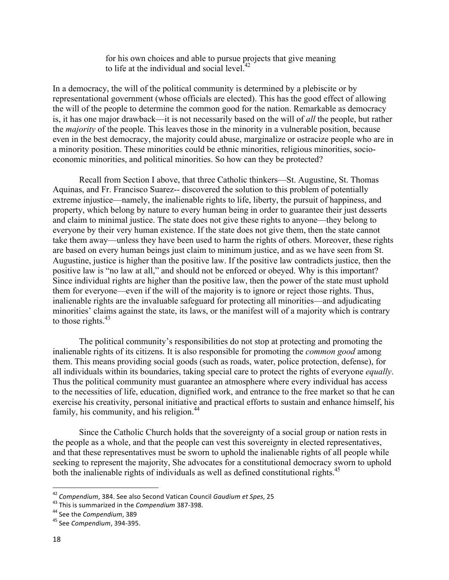for his own choices and able to pursue projects that give meaning to life at the individual and social level. $42$ 

In a democracy, the will of the political community is determined by a plebiscite or by representational government (whose officials are elected). This has the good effect of allowing the will of the people to determine the common good for the nation. Remarkable as democracy is, it has one major drawback—it is not necessarily based on the will of *all* the people, but rather the *majority* of the people. This leaves those in the minority in a vulnerable position, because even in the best democracy, the majority could abuse, marginalize or ostracize people who are in a minority position. These minorities could be ethnic minorities, religious minorities, socioeconomic minorities, and political minorities. So how can they be protected?

Recall from Section I above, that three Catholic thinkers—St. Augustine, St. Thomas Aquinas, and Fr. Francisco Suarez-- discovered the solution to this problem of potentially extreme injustice—namely, the inalienable rights to life, liberty, the pursuit of happiness, and property, which belong by nature to every human being in order to guarantee their just desserts and claim to minimal justice. The state does not give these rights to anyone—they belong to everyone by their very human existence. If the state does not give them, then the state cannot take them away—unless they have been used to harm the rights of others. Moreover, these rights are based on every human beings just claim to minimum justice, and as we have seen from St. Augustine, justice is higher than the positive law. If the positive law contradicts justice, then the positive law is "no law at all," and should not be enforced or obeyed. Why is this important? Since individual rights are higher than the positive law, then the power of the state must uphold them for everyone—even if the will of the majority is to ignore or reject those rights. Thus, inalienable rights are the invaluable safeguard for protecting all minorities—and adjudicating minorities' claims against the state, its laws, or the manifest will of a majority which is contrary to those rights. $43$ 

The political community's responsibilities do not stop at protecting and promoting the inalienable rights of its citizens. It is also responsible for promoting the *common good* among them. This means providing social goods (such as roads, water, police protection, defense), for all individuals within its boundaries, taking special care to protect the rights of everyone *equally*. Thus the political community must guarantee an atmosphere where every individual has access to the necessities of life, education, dignified work, and entrance to the free market so that he can exercise his creativity, personal initiative and practical efforts to sustain and enhance himself, his family, his community, and his religion. $44$ 

Since the Catholic Church holds that the sovereignty of a social group or nation rests in the people as a whole, and that the people can vest this sovereignty in elected representatives, and that these representatives must be sworn to uphold the inalienable rights of all people while seeking to represent the majority, She advocates for a constitutional democracy sworn to uphold both the inalienable rights of individuals as well as defined constitutional rights.<sup>45</sup>

<sup>&</sup>lt;sup>42</sup> Compendium, 384. See also Second Vatican Council Gaudium et Spes, 25

<sup>&</sup>lt;sup>43</sup> This is summarized in the *Compendium* 387-398.

<sup>&</sup>lt;sup>44</sup> See the *Compendium*, 389

<sup>&</sup>lt;sup>45</sup> See *Compendium*, 394-395.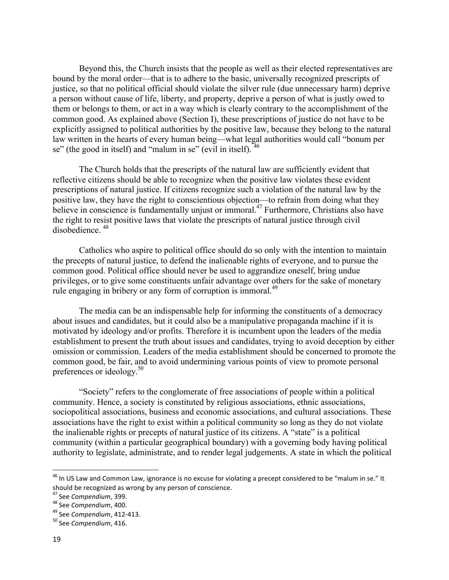Beyond this, the Church insists that the people as well as their elected representatives are bound by the moral order—that is to adhere to the basic, universally recognized prescripts of justice, so that no political official should violate the silver rule (due unnecessary harm) deprive a person without cause of life, liberty, and property, deprive a person of what is justly owed to them or belongs to them, or act in a way which is clearly contrary to the accomplishment of the common good. As explained above (Section I), these prescriptions of justice do not have to be explicitly assigned to political authorities by the positive law, because they belong to the natural law written in the hearts of every human being—what legal authorities would call "bonum per se" (the good in itself) and "malum in se" (evil in itself). <sup>46</sup>

The Church holds that the prescripts of the natural law are sufficiently evident that reflective citizens should be able to recognize when the positive law violates these evident prescriptions of natural justice. If citizens recognize such a violation of the natural law by the positive law, they have the right to conscientious objection—to refrain from doing what they believe in conscience is fundamentally unjust or immoral.<sup>47</sup> Furthermore, Christians also have the right to resist positive laws that violate the prescripts of natural justice through civil disobedience.  $48$ 

Catholics who aspire to political office should do so only with the intention to maintain the precepts of natural justice, to defend the inalienable rights of everyone, and to pursue the common good. Political office should never be used to aggrandize oneself, bring undue privileges, or to give some constituents unfair advantage over others for the sake of monetary rule engaging in bribery or any form of corruption is immoral.<sup>49</sup>

The media can be an indispensable help for informing the constituents of a democracy about issues and candidates, but it could also be a manipulative propaganda machine if it is motivated by ideology and/or profits. Therefore it is incumbent upon the leaders of the media establishment to present the truth about issues and candidates, trying to avoid deception by either omission or commission. Leaders of the media establishment should be concerned to promote the common good, be fair, and to avoid undermining various points of view to promote personal preferences or ideology.<sup>50</sup>

"Society" refers to the conglomerate of free associations of people within a political community. Hence, a society is constituted by religious associations, ethnic associations, sociopolitical associations, business and economic associations, and cultural associations. These associations have the right to exist within a political community so long as they do not violate the inalienable rights or precepts of natural justice of its citizens. A "state" is a political community (within a particular geographical boundary) with a governing body having political authority to legislate, administrate, and to render legal judgements. A state in which the political

 $46$  In US Law and Common Law, ignorance is no excuse for violating a precept considered to be "malum in se." It should be recognized as wrong by any person of conscience.

<sup>&</sup>lt;sup>47</sup> See Compendium, 399.

<sup>&</sup>lt;sup>48</sup> See Compendium, 400.

<sup>&</sup>lt;sup>49</sup> See Compendium, 412-413.

<sup>&</sup>lt;sup>50</sup> See Compendium, 416.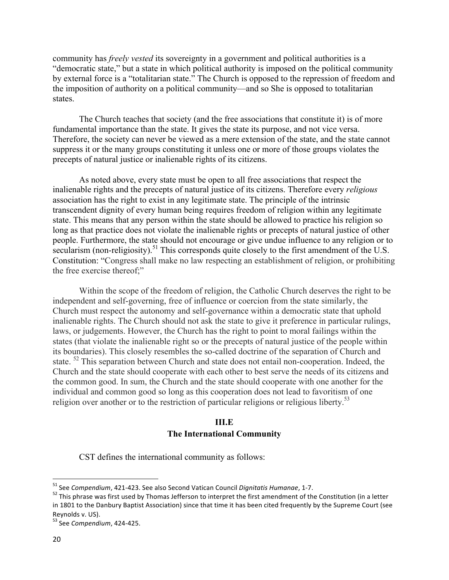community has *freely vested* its sovereignty in a government and political authorities is a "democratic state," but a state in which political authority is imposed on the political community by external force is a "totalitarian state." The Church is opposed to the repression of freedom and the imposition of authority on a political community—and so She is opposed to totalitarian states.

The Church teaches that society (and the free associations that constitute it) is of more fundamental importance than the state. It gives the state its purpose, and not vice versa. Therefore, the society can never be viewed as a mere extension of the state, and the state cannot suppress it or the many groups constituting it unless one or more of those groups violates the precepts of natural justice or inalienable rights of its citizens.

As noted above, every state must be open to all free associations that respect the inalienable rights and the precepts of natural justice of its citizens. Therefore every *religious* association has the right to exist in any legitimate state. The principle of the intrinsic transcendent dignity of every human being requires freedom of religion within any legitimate state. This means that any person within the state should be allowed to practice his religion so long as that practice does not violate the inalienable rights or precepts of natural justice of other people. Furthermore, the state should not encourage or give undue influence to any religion or to secularism (non-religiosity).<sup>51</sup> This corresponds quite closely to the first amendment of the U.S. Constitution: "Congress shall make no law respecting an establishment of religion, or prohibiting the free exercise thereof;"

Within the scope of the freedom of religion, the Catholic Church deserves the right to be independent and self-governing, free of influence or coercion from the state similarly, the Church must respect the autonomy and self-governance within a democratic state that uphold inalienable rights. The Church should not ask the state to give it preference in particular rulings, laws, or judgements. However, the Church has the right to point to moral failings within the states (that violate the inalienable right so or the precepts of natural justice of the people within its boundaries). This closely resembles the so-called doctrine of the separation of Church and state. <sup>52</sup> This separation between Church and state does not entail non-cooperation. Indeed, the Church and the state should cooperate with each other to best serve the needs of its citizens and the common good. In sum, the Church and the state should cooperate with one another for the individual and common good so long as this cooperation does not lead to favoritism of one religion over another or to the restriction of particular religions or religious liberty.<sup>53</sup>

## **III.E The International Community**

CST defines the international community as follows:

<sup>&</sup>lt;sup>51</sup> See Compendium, 421-423. See also Second Vatican Council Dignitatis Humanae, 1-7.

 $52$  This phrase was first used by Thomas Jefferson to interpret the first amendment of the Constitution (in a letter in 1801 to the Danbury Baptist Association) since that time it has been cited frequently by the Supreme Court (see Reynolds v. US).

<sup>&</sup>lt;sup>53</sup> See Compendium, 424-425.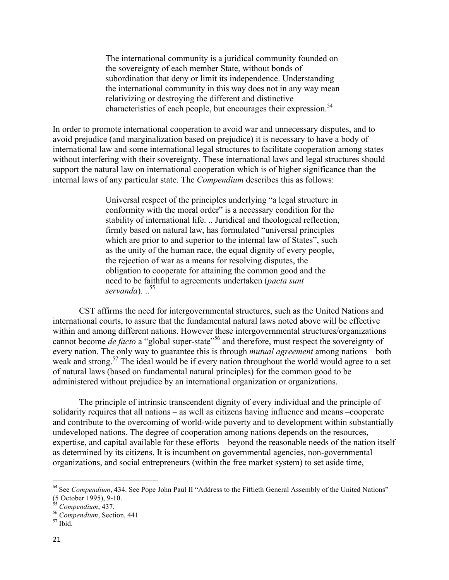The international community is a juridical community founded on the sovereignty of each member State, without bonds of subordination that deny or limit its independence. Understanding the international community in this way does not in any way mean relativizing or destroying the different and distinctive characteristics of each people, but encourages their expression. 54

In order to promote international cooperation to avoid war and unnecessary disputes, and to avoid prejudice (and marginalization based on prejudice) it is necessary to have a body of international law and some international legal structures to facilitate cooperation among states without interfering with their sovereignty. These international laws and legal structures should support the natural law on international cooperation which is of higher significance than the internal laws of any particular state. The *Compendium* describes this as follows:

> Universal respect of the principles underlying "a legal structure in conformity with the moral order" is a necessary condition for the stability of international life. .. Juridical and theological reflection, firmly based on natural law, has formulated "universal principles which are prior to and superior to the internal law of States", such as the unity of the human race, the equal dignity of every people, the rejection of war as a means for resolving disputes, the obligation to cooperate for attaining the common good and the need to be faithful to agreements undertaken (*pacta sunt servanda*). ..<sup>55</sup>

CST affirms the need for intergovernmental structures, such as the United Nations and international courts, to assure that the fundamental natural laws noted above will be effective within and among different nations. However these intergovernmental structures/organizations cannot become *de facto* a "global super-state"<sup>56</sup> and therefore, must respect the sovereignty of every nation. The only way to guarantee this is through *mutual agreement* among nations – both weak and strong.<sup>57</sup> The ideal would be if every nation throughout the world would agree to a set of natural laws (based on fundamental natural principles) for the common good to be administered without prejudice by an international organization or organizations.

The principle of intrinsic transcendent dignity of every individual and the principle of solidarity requires that all nations – as well as citizens having influence and means –cooperate and contribute to the overcoming of world-wide poverty and to development within substantially undeveloped nations. The degree of cooperation among nations depends on the resources, expertise, and capital available for these efforts – beyond the reasonable needs of the nation itself as determined by its citizens. It is incumbent on governmental agencies, non-governmental organizations, and social entrepreneurs (within the free market system) to set aside time,

<sup>&</sup>lt;sup>54</sup> See *Compendium*, 434. See Pope John Paul II "Address to the Fiftieth General Assembly of the United Nations" (5 October 1995), 9-10.

<sup>55</sup> *Compendium*, 437.

<sup>56</sup> *Compendium*, Section. 441

<sup>57</sup> Ibid.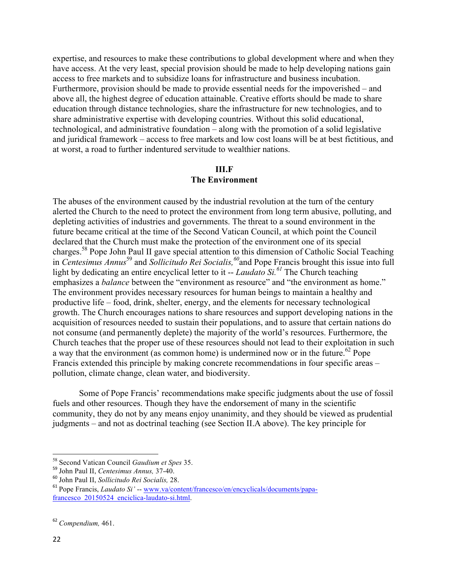expertise, and resources to make these contributions to global development where and when they have access. At the very least, special provision should be made to help developing nations gain access to free markets and to subsidize loans for infrastructure and business incubation. Furthermore, provision should be made to provide essential needs for the impoverished – and above all, the highest degree of education attainable. Creative efforts should be made to share education through distance technologies, share the infrastructure for new technologies, and to share administrative expertise with developing countries. Without this solid educational, technological, and administrative foundation – along with the promotion of a solid legislative and juridical framework – access to free markets and low cost loans will be at best fictitious, and at worst, a road to further indentured servitude to wealthier nations.

#### **III.F The Environment**

The abuses of the environment caused by the industrial revolution at the turn of the century alerted the Church to the need to protect the environment from long term abusive, polluting, and depleting activities of industries and governments. The threat to a sound environment in the future became critical at the time of the Second Vatican Council, at which point the Council declared that the Church must make the protection of the environment one of its special charges.<sup>58</sup> Pope John Paul II gave special attention to this dimension of Catholic Social Teaching in *Centesimus Annus*<sup>59</sup> and *Sollicitudo Rei Socialis,<sup>60</sup>*and Pope Francis brought this issue into full light by dedicating an entire encyclical letter to it -- *Laudato Si.<sup>61</sup>* The Church teaching emphasizes a *balance* between the "environment as resource" and "the environment as home." The environment provides necessary resources for human beings to maintain a healthy and productive life – food, drink, shelter, energy, and the elements for necessary technological growth. The Church encourages nations to share resources and support developing nations in the acquisition of resources needed to sustain their populations, and to assure that certain nations do not consume (and permanently deplete) the majority of the world's resources. Furthermore, the Church teaches that the proper use of these resources should not lead to their exploitation in such a way that the environment (as common home) is undermined now or in the future.<sup>62</sup> Pope Francis extended this principle by making concrete recommendations in four specific areas – pollution, climate change, clean water, and biodiversity.

Some of Pope Francis' recommendations make specific judgments about the use of fossil fuels and other resources. Though they have the endorsement of many in the scientific community, they do not by any means enjoy unanimity, and they should be viewed as prudential judgments – and not as doctrinal teaching (see Section II.A above). The key principle for

<sup>58</sup> Second Vatican Council *Gaudium et Spes* 35.

<sup>59</sup> John Paul II, *Centesimus Annus,* 37-40.

<sup>60</sup> John Paul II, *Sollicitudo Rei Socialis,* 28.

<sup>61</sup> Pope Francis, *Laudato Si'* -- www.va/content/francesco/en/encyclicals/documents/papafrancesco\_20150524\_enciclica-laudato-si.html.

<sup>62</sup> *Compendium,* 461.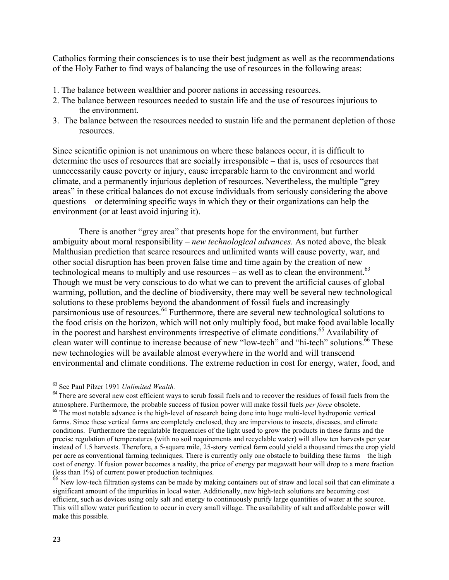Catholics forming their consciences is to use their best judgment as well as the recommendations of the Holy Father to find ways of balancing the use of resources in the following areas:

- 1. The balance between wealthier and poorer nations in accessing resources.
- 2. The balance between resources needed to sustain life and the use of resources injurious to the environment.
- 3. The balance between the resources needed to sustain life and the permanent depletion of those resources.

Since scientific opinion is not unanimous on where these balances occur, it is difficult to determine the uses of resources that are socially irresponsible – that is, uses of resources that unnecessarily cause poverty or injury, cause irreparable harm to the environment and world climate, and a permanently injurious depletion of resources. Nevertheless, the multiple "grey areas" in these critical balances do not excuse individuals from seriously considering the above questions – or determining specific ways in which they or their organizations can help the environment (or at least avoid injuring it).

There is another "grey area" that presents hope for the environment, but further ambiguity about moral responsibility – *new technological advances.* As noted above, the bleak Malthusian prediction that scarce resources and unlimited wants will cause poverty, war, and other social disruption has been proven false time and time again by the creation of new technological means to multiply and use resources – as well as to clean the environment.<sup>63</sup> Though we must be very conscious to do what we can to prevent the artificial causes of global warming, pollution, and the decline of biodiversity, there may well be several new technological solutions to these problems beyond the abandonment of fossil fuels and increasingly parsimonious use of resources.<sup>64</sup> Furthermore, there are several new technological solutions to the food crisis on the horizon, which will not only multiply food, but make food available locally in the poorest and harshest environments irrespective of climate conditions.<sup>65</sup> Availability of clean water will continue to increase because of new "low-tech" and "hi-tech" solutions.<sup>66</sup> These new technologies will be available almost everywhere in the world and will transcend environmental and climate conditions. The extreme reduction in cost for energy, water, food, and

<sup>63</sup> See Paul Pilzer 1991 *Unlimited Wealth.* 

<sup>&</sup>lt;sup>64</sup> There are several new cost efficient ways to scrub fossil fuels and to recover the residues of fossil fuels from the atmosphere. Furthermore, the probable success of fusion power will make fossil fuels *per force* obsolete.

<sup>&</sup>lt;sup>65</sup> The most notable advance is the high-level of research being done into huge multi-level hydroponic vertical farms. Since these vertical farms are completely enclosed, they are impervious to insects, diseases, and climate conditions. Furthermore the regulatable frequencies of the light used to grow the products in these farms and the precise regulation of temperatures (with no soil requirements and recyclable water) will allow ten harvests per year instead of 1.5 harvests. Therefore, a 5-square mile, 25-story vertical farm could yield a thousand times the crop yield per acre as conventional farming techniques. There is currently only one obstacle to building these farms – the high cost of energy. If fusion power becomes a reality, the price of energy per megawatt hour will drop to a mere fraction (less than 1%) of current power production techniques.

<sup>&</sup>lt;sup>66</sup> New low-tech filtration systems can be made by making containers out of straw and local soil that can eliminate a significant amount of the impurities in local water. Additionally, new high-tech solutions are becoming cost efficient, such as devices using only salt and energy to continuously purify large quantities of water at the source. This will allow water purification to occur in every small village. The availability of salt and affordable power will make this possible.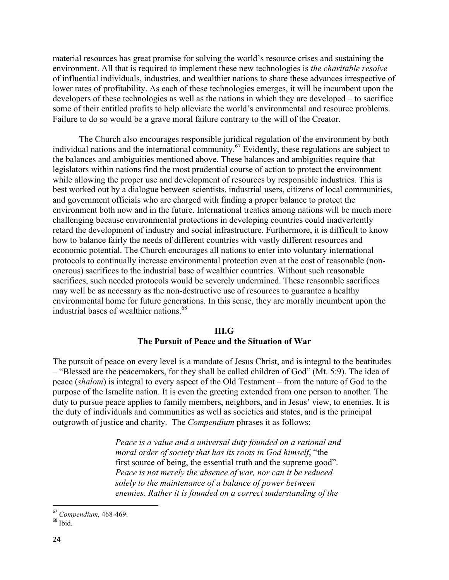material resources has great promise for solving the world's resource crises and sustaining the environment. All that is required to implement these new technologies is *the charitable resolve*  of influential individuals, industries, and wealthier nations to share these advances irrespective of lower rates of profitability. As each of these technologies emerges, it will be incumbent upon the developers of these technologies as well as the nations in which they are developed – to sacrifice some of their entitled profits to help alleviate the world's environmental and resource problems. Failure to do so would be a grave moral failure contrary to the will of the Creator.

The Church also encourages responsible juridical regulation of the environment by both individual nations and the international community.<sup>67</sup> Evidently, these regulations are subject to the balances and ambiguities mentioned above. These balances and ambiguities require that legislators within nations find the most prudential course of action to protect the environment while allowing the proper use and development of resources by responsible industries. This is best worked out by a dialogue between scientists, industrial users, citizens of local communities, and government officials who are charged with finding a proper balance to protect the environment both now and in the future. International treaties among nations will be much more challenging because environmental protections in developing countries could inadvertently retard the development of industry and social infrastructure. Furthermore, it is difficult to know how to balance fairly the needs of different countries with vastly different resources and economic potential. The Church encourages all nations to enter into voluntary international protocols to continually increase environmental protection even at the cost of reasonable (nononerous) sacrifices to the industrial base of wealthier countries. Without such reasonable sacrifices, such needed protocols would be severely undermined. These reasonable sacrifices may well be as necessary as the non-destructive use of resources to guarantee a healthy environmental home for future generations. In this sense, they are morally incumbent upon the industrial bases of wealthier nations.<sup>68</sup>

## **III.G The Pursuit of Peace and the Situation of War**

The pursuit of peace on every level is a mandate of Jesus Christ, and is integral to the beatitudes – "Blessed are the peacemakers, for they shall be called children of God" (Mt. 5:9). The idea of peace (*shalom*) is integral to every aspect of the Old Testament – from the nature of God to the purpose of the Israelite nation. It is even the greeting extended from one person to another. The duty to pursue peace applies to family members, neighbors, and in Jesus' view, to enemies. It is the duty of individuals and communities as well as societies and states, and is the principal outgrowth of justice and charity. The *Compendium* phrases it as follows:

> *Peace is a value and a universal duty founded on a rational and moral order of society that has its roots in God himself*, "the first source of being, the essential truth and the supreme good". *Peace is not merely the absence of war, nor can it be reduced solely to the maintenance of a balance of power between enemies*. *Rather it is founded on a correct understanding of the*

<sup>67</sup> *Compendium,* 468-469.

 $^{68}$  Ibid.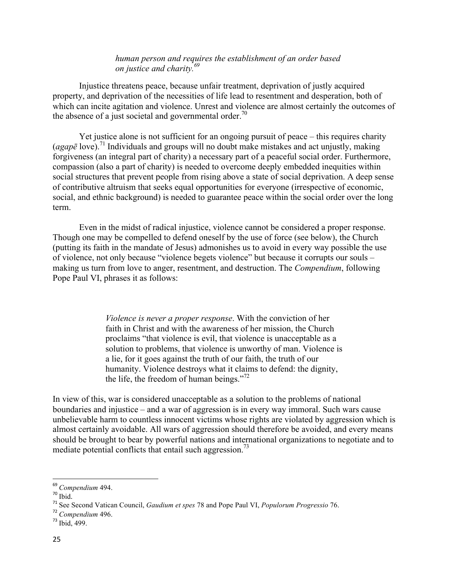#### *human person and requires the establishment of an order based on justice and charity.<sup>69</sup>*

Injustice threatens peace, because unfair treatment, deprivation of justly acquired property, and deprivation of the necessities of life lead to resentment and desperation, both of which can incite agitation and violence. Unrest and violence are almost certainly the outcomes of the absence of a just societal and governmental order.<sup>70</sup>

Yet justice alone is not sufficient for an ongoing pursuit of peace – this requires charity (*agap* $\bar{e}$  love).<sup>71</sup> Individuals and groups will no doubt make mistakes and act unjustly, making forgiveness (an integral part of charity) a necessary part of a peaceful social order. Furthermore, compassion (also a part of charity) is needed to overcome deeply embedded inequities within social structures that prevent people from rising above a state of social deprivation. A deep sense of contributive altruism that seeks equal opportunities for everyone (irrespective of economic, social, and ethnic background) is needed to guarantee peace within the social order over the long term.

Even in the midst of radical injustice, violence cannot be considered a proper response. Though one may be compelled to defend oneself by the use of force (see below), the Church (putting its faith in the mandate of Jesus) admonishes us to avoid in every way possible the use of violence, not only because "violence begets violence" but because it corrupts our souls – making us turn from love to anger, resentment, and destruction. The *Compendium*, following Pope Paul VI, phrases it as follows:

> *Violence is never a proper response*. With the conviction of her faith in Christ and with the awareness of her mission, the Church proclaims "that violence is evil, that violence is unacceptable as a solution to problems, that violence is unworthy of man. Violence is a lie, for it goes against the truth of our faith, the truth of our humanity. Violence destroys what it claims to defend: the dignity, the life, the freedom of human beings."<sup>72</sup>

In view of this, war is considered unacceptable as a solution to the problems of national boundaries and injustice – and a war of aggression is in every way immoral. Such wars cause unbelievable harm to countless innocent victims whose rights are violated by aggression which is almost certainly avoidable. All wars of aggression should therefore be avoided, and every means should be brought to bear by powerful nations and international organizations to negotiate and to mediate potential conflicts that entail such aggression.<sup>73</sup>

<sup>69</sup> *Compendium* 494.

 $70$  Ibid.

<sup>71</sup> See Second Vatican Council, *Gaudium et spes* 78 and Pope Paul VI, *Populorum Progressio* 76.

<sup>72</sup> *Compendium* 496.

<sup>73</sup> Ibid, 499.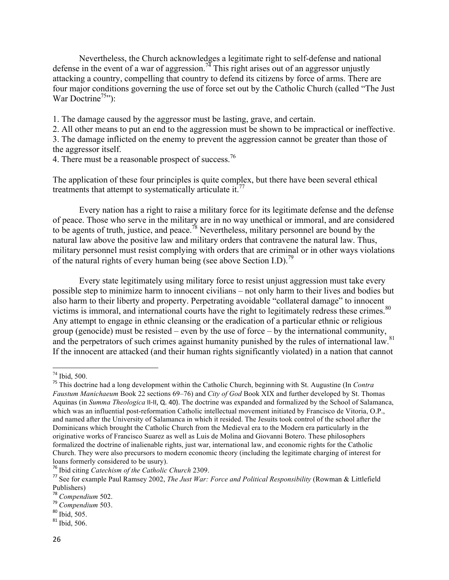Nevertheless, the Church acknowledges a legitimate right to self-defense and national defense in the event of a war of aggression.<sup>74</sup> This right arises out of an aggressor unjustly attacking a country, compelling that country to defend its citizens by force of arms. There are four major conditions governing the use of force set out by the Catholic Church (called "The Just War Doctrine<sup>75</sup>"):

1. The damage caused by the aggressor must be lasting, grave, and certain.

2. All other means to put an end to the aggression must be shown to be impractical or ineffective.

3. The damage inflicted on the enemy to prevent the aggression cannot be greater than those of the aggressor itself.

4. There must be a reasonable prospect of success.<sup>76</sup>

The application of these four principles is quite complex, but there have been several ethical treatments that attempt to systematically articulate it.<sup>77</sup>

Every nation has a right to raise a military force for its legitimate defense and the defense of peace. Those who serve in the military are in no way unethical or immoral, and are considered to be agents of truth, justice, and peace.<sup>78</sup> Nevertheless, military personnel are bound by the natural law above the positive law and military orders that contravene the natural law. Thus, military personnel must resist complying with orders that are criminal or in other ways violations of the natural rights of every human being (see above Section I.D).<sup>79</sup>

Every state legitimately using military force to resist unjust aggression must take every possible step to minimize harm to innocent civilians – not only harm to their lives and bodies but also harm to their liberty and property. Perpetrating avoidable "collateral damage" to innocent victims is immoral, and international courts have the right to legitimately redress these crimes.<sup>80</sup> Any attempt to engage in ethnic cleansing or the eradication of a particular ethnic or religious group (genocide) must be resisted – even by the use of force – by the international community, and the perpetrators of such crimes against humanity punished by the rules of international law.<sup>81</sup> If the innocent are attacked (and their human rights significantly violated) in a nation that cannot

<sup>74</sup> Ibid, 500.

<sup>75</sup> This doctrine had a long development within the Catholic Church, beginning with St. Augustine (In *Contra Faustum Manichaeum* Book 22 sections 69–76) and *City of God* Book XIX and further developed by St. Thomas Aquinas (in *Summa Theologica* II-II, Q. 40). The doctrine was expanded and formalized by the School of Salamanca, which was an influential post-reformation Catholic intellectual movement initiated by Francisco de Vitoria, O.P., and named after the University of Salamanca in which it resided. The Jesuits took control of the school after the Dominicans which brought the Catholic Church from the Medieval era to the Modern era particularly in the originative works of Francisco Suarez as well as Luis de Molina and Giovanni Botero. These philosophers formalized the doctrine of inalienable rights, just war, international law, and economic rights for the Catholic Church. They were also precursors to modern economic theory (including the legitimate charging of interest for loans formerly considered to be usury).

<sup>76</sup> Ibid citing *Catechism of the Catholic Church* 2309.

<sup>77</sup> See for example Paul Ramsey 2002, *The Just War: Force and Political Responsibility* (Rowman & Littlefield Publishers)

<sup>78</sup> *Compendium* 502.

<sup>79</sup> *Compendium* 503.

 $80$  Ibid, 505.

 $81$  Ibid, 506.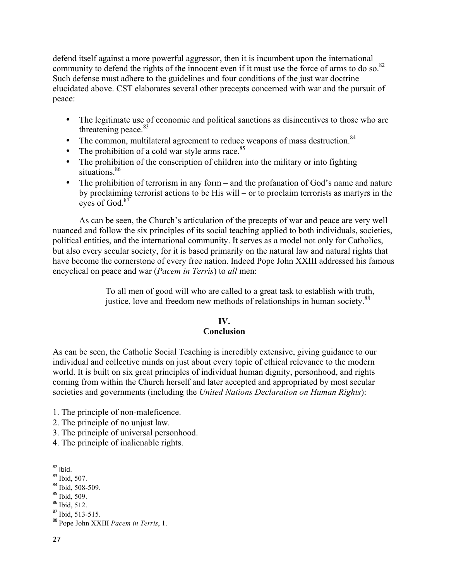defend itself against a more powerful aggressor, then it is incumbent upon the international community to defend the rights of the innocent even if it must use the force of arms to do so.<sup>82</sup> Such defense must adhere to the guidelines and four conditions of the just war doctrine elucidated above. CST elaborates several other precepts concerned with war and the pursuit of peace:

- The legitimate use of economic and political sanctions as disincentives to those who are threatening peace. $83$
- The common, multilateral agreement to reduce weapons of mass destruction.  $84$
- The prohibition of a cold war style arms race. $85$
- The prohibition of the conscription of children into the military or into fighting situations.<sup>86</sup>
- The prohibition of terrorism in any form and the profanation of God's name and nature by proclaiming terrorist actions to be His will – or to proclaim terrorists as martyrs in the eyes of God.<sup>87</sup>

As can be seen, the Church's articulation of the precepts of war and peace are very well nuanced and follow the six principles of its social teaching applied to both individuals, societies, political entities, and the international community. It serves as a model not only for Catholics, but also every secular society, for it is based primarily on the natural law and natural rights that have become the cornerstone of every free nation. Indeed Pope John XXIII addressed his famous encyclical on peace and war (*Pacem in Terris*) to *all* men:

> To all men of good will who are called to a great task to establish with truth, justice, love and freedom new methods of relationships in human society.<sup>88</sup>

# **IV.**

## **Conclusion**

As can be seen, the Catholic Social Teaching is incredibly extensive, giving guidance to our individual and collective minds on just about every topic of ethical relevance to the modern world. It is built on six great principles of individual human dignity, personhood, and rights coming from within the Church herself and later accepted and appropriated by most secular societies and governments (including the *United Nations Declaration on Human Rights*):

- 1. The principle of non-maleficence.
- 2. The principle of no unjust law.
- 3. The principle of universal personhood.
- 4. The principle of inalienable rights.
- <u> Andrew Maria (1989)</u>  $82$  Ibid.

- <sup>85</sup> Ibid, 509.
- $86$  Ibid, 512.
- <sup>87</sup> Ibid, 513-515.

<sup>&</sup>lt;sup>83</sup> Ibid, 507.

 $84$  Ibid, 508-509.

<sup>88</sup> Pope John XXIII *Pacem in Terris*, 1.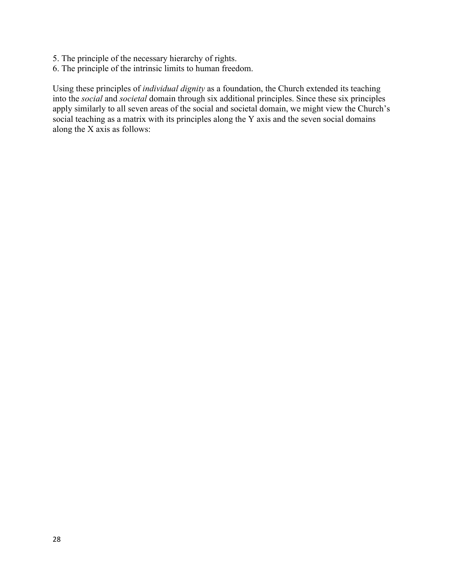- 5. The principle of the necessary hierarchy of rights.
- 6. The principle of the intrinsic limits to human freedom.

Using these principles of *individual dignity* as a foundation, the Church extended its teaching into the *social* and *societal* domain through six additional principles. Since these six principles apply similarly to all seven areas of the social and societal domain, we might view the Church's social teaching as a matrix with its principles along the Y axis and the seven social domains along the X axis as follows: